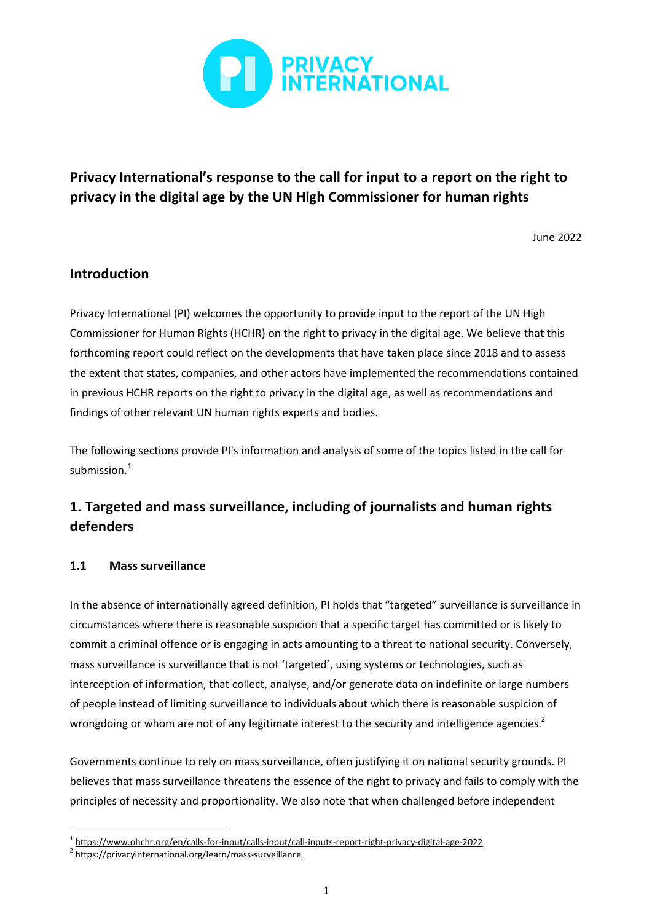

# **Privacy International's response to the call for input to a report on the right to privacy in the digital age by the UN High Commissioner for human rights**

June 2022

## **Introduction**

Privacy International (PI) welcomes the opportunity to provide input to the report of the UN High Commissioner for Human Rights (HCHR) on the right to privacy in the digital age. We believe that this forthcoming report could reflect on the developments that have taken place since 2018 and to assess the extent that states, companies, and other actors have implemented the recommendations contained in previous HCHR reports on the right to privacy in the digital age, as well as recommendations and findings of other relevant UN human rights experts and bodies.

The following sections provide PI's information and analysis of some of the topics listed in the call for submission.<sup>1</sup>

# **1. Targeted and mass surveillance, including of journalists and human rights defenders**

## **1.1 Mass surveillance**

In the absence of internationally agreed definition, PI holds that "targeted" surveillance is surveillance in circumstances where there is reasonable suspicion that a specific target has committed or is likely to commit a criminal offence or is engaging in acts amounting to a threat to national security. Conversely, mass surveillance is surveillance that is not 'targeted', using systems or technologies, such as interception of information, that collect, analyse, and/or generate data on indefinite or large numbers of people instead of limiting surveillance to individuals about which there is reasonable suspicion of wrongdoing or whom are not of any legitimate interest to the security and intelligence agencies.<sup>2</sup>

Governments continue to rely on mass surveillance, often justifying it on national security grounds. PI believes that mass surveillance threatens the essence of the right to privacy and fails to comply with the principles of necessity and proportionality. We also note that when challenged before independent

<sup>1</sup> <https://www.ohchr.org/en/calls-for-input/calls-input/call-inputs-report-right-privacy-digital-age-2022>

<sup>&</sup>lt;sup>2</sup> <https://privacyinternational.org/learn/mass-surveillance>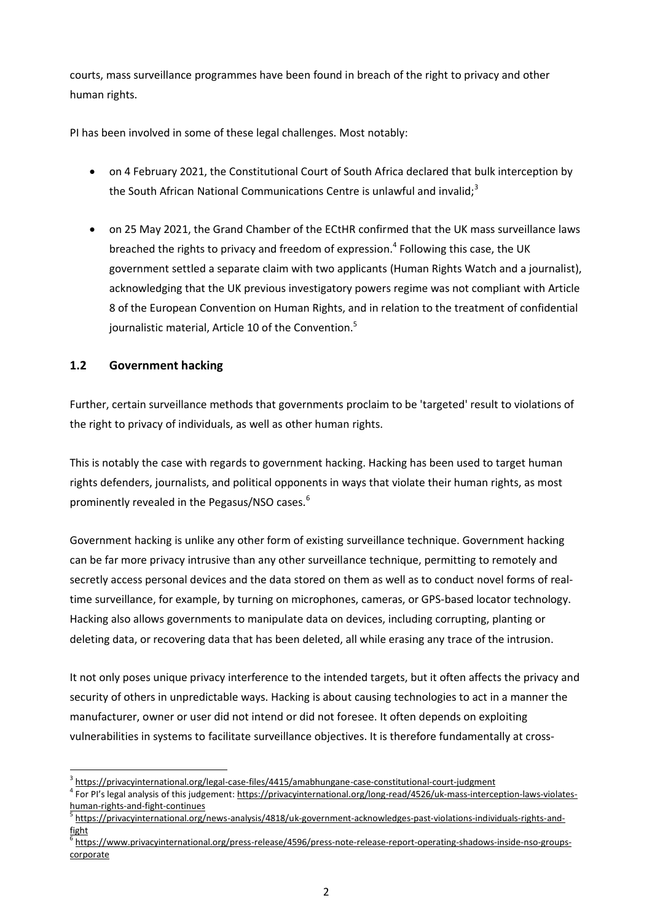courts, mass surveillance programmes have been found in breach of the right to privacy and other human rights.

PI has been involved in some of these legal challenges. Most notably:

- on 4 February 2021, the Constitutional Court of South Africa declared that bulk interception by the South African National Communications Centre is unlawful and invalid: $3$
- on 25 May 2021, the Grand Chamber of the ECtHR confirmed that the UK mass surveillance laws breached the rights to privacy and freedom of expression.<sup>4</sup> Following this case, the UK government settled a separate claim with two applicants (Human Rights Watch and a journalist), acknowledging that the UK previous investigatory powers regime was not compliant with Article 8 of the European Convention on Human Rights, and in relation to the treatment of confidential journalistic material, Article 10 of the Convention.<sup>5</sup>

## **1.2 Government hacking**

Further, certain surveillance methods that governments proclaim to be 'targeted' result to violations of the right to privacy of individuals, as well as other human rights.

This is notably the case with regards to government hacking. Hacking has been used to target human rights defenders, journalists, and political opponents in ways that violate their human rights, as most prominently revealed in the Pegasus/NSO cases.<sup>6</sup>

Government hacking is unlike any other form of existing surveillance technique. Government hacking can be far more privacy intrusive than any other surveillance technique, permitting to remotely and secretly access personal devices and the data stored on them as well as to conduct novel forms of realtime surveillance, for example, by turning on microphones, cameras, or GPS-based locator technology. Hacking also allows governments to manipulate data on devices, including corrupting, planting or deleting data, or recovering data that has been deleted, all while erasing any trace of the intrusion.

It not only poses unique privacy interference to the intended targets, but it often affects the privacy and security of others in unpredictable ways. Hacking is about causing technologies to act in a manner the manufacturer, owner or user did not intend or did not foresee. It often depends on exploiting vulnerabilities in systems to facilitate surveillance objectives. It is therefore fundamentally at cross-

<sup>&</sup>lt;sup>3</sup> <https://privacyinternational.org/legal-case-files/4415/amabhungane-case-constitutional-court-judgment>

<sup>&</sup>lt;sup>4</sup> For PI's legal analysis of this judgement: [https://privacyinternational.org/long-read/4526/uk-mass-interception-laws-violates](https://privacyinternational.org/long-read/4526/uk-mass-interception-laws-violates-human-rights-and-fight-continues)[human-rights-and-fight-continues](https://privacyinternational.org/long-read/4526/uk-mass-interception-laws-violates-human-rights-and-fight-continues)

<sup>5</sup> [https://privacyinternational.org/news-analysis/4818/uk-government-acknowledges-past-violations-individuals-rights-and](https://privacyinternational.org/news-analysis/4818/uk-government-acknowledges-past-violations-individuals-rights-and-fight)[fight](https://privacyinternational.org/news-analysis/4818/uk-government-acknowledges-past-violations-individuals-rights-and-fight)

<sup>&</sup>lt;sup>6</sup> [https://www.privacyinternational.org/press-release/4596/press-note-release-report-operating-shadows-inside-nso-groups](https://www.privacyinternational.org/press-release/4596/press-note-release-report-operating-shadows-inside-nso-groups-corporate)[corporate](https://www.privacyinternational.org/press-release/4596/press-note-release-report-operating-shadows-inside-nso-groups-corporate)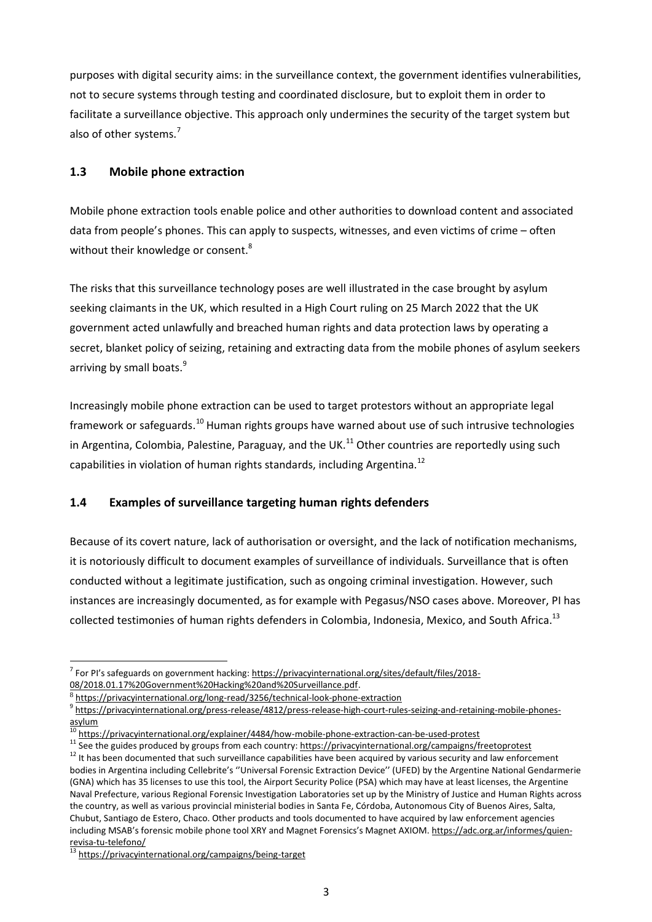purposes with digital security aims: in the surveillance context, the government identifies vulnerabilities, not to secure systems through testing and coordinated disclosure, but to exploit them in order to facilitate a surveillance objective. This approach only undermines the security of the target system but also of other systems.<sup>7</sup>

#### **1.3 Mobile phone extraction**

Mobile phone extraction tools enable police and other authorities to download content and associated data from people's phones. This can apply to suspects, witnesses, and even victims of crime – often without their knowledge or consent.<sup>8</sup>

The risks that this surveillance technology poses are well illustrated in the case brought by asylum seeking claimants in the UK, which resulted in a High Court ruling on 25 March 2022 that the UK government acted unlawfully and breached human rights and data protection laws by operating a secret, blanket policy of seizing, retaining and extracting data from the mobile phones of asylum seekers arriving by small boats.<sup>9</sup>

Increasingly mobile phone extraction can be used to target protestors without an appropriate legal framework or safeguards.<sup>10</sup> Human rights groups have warned about use of such intrusive technologies in Argentina, Colombia, Palestine, Paraguay, and the UK.<sup>11</sup> Other countries are reportedly using such capabilities in violation of human rights standards, including Argentina.<sup>12</sup>

## **1.4 Examples of surveillance targeting human rights defenders**

Because of its covert nature, lack of authorisation or oversight, and the lack of notification mechanisms, it is notoriously difficult to document examples of surveillance of individuals. Surveillance that is often conducted without a legitimate justification, such as ongoing criminal investigation. However, such instances are increasingly documented, as for example with Pegasus/NSO cases above. Moreover, PI has collected testimonies of human rights defenders in Colombia, Indonesia, Mexico, and South Africa.<sup>13</sup>

<sup>&</sup>lt;sup>7</sup> For PI's safeguards on government hacking: [https://privacyinternational.org/sites/default/files/2018-](https://privacyinternational.org/sites/default/files/2018-08/2018.01.17%20Government%20Hacking%20and%20Surveillance.pdf) [08/2018.01.17%20Government%20Hacking%20and%20Surveillance.pdf.](https://privacyinternational.org/sites/default/files/2018-08/2018.01.17%20Government%20Hacking%20and%20Surveillance.pdf)

<sup>8</sup> <https://privacyinternational.org/long-read/3256/technical-look-phone-extraction>

<sup>&</sup>lt;sup>9</sup> [https://privacyinternational.org/press-release/4812/press-release-high-court-rules-seizing-and-retaining-mobile-phones](https://privacyinternational.org/press-release/4812/press-release-high-court-rules-seizing-and-retaining-mobile-phones-asylum)[asylum](https://privacyinternational.org/press-release/4812/press-release-high-court-rules-seizing-and-retaining-mobile-phones-asylum)

<sup>&</sup>lt;sup>3</sup><https://privacyinternational.org/explainer/4484/how-mobile-phone-extraction-can-be-used-protest>

<sup>&</sup>lt;sup>11</sup> See the guides produced by groups from each country: <https://privacyinternational.org/campaigns/freetoprotest>  $12$  It has been documented that such surveillance capabilities have been acquired by various security and law enforcement bodies in Argentina including Cellebrite's ''Universal Forensic Extraction Device'' (UFED) by the Argentine National Gendarmerie (GNA) which has 35 licenses to use this tool, the Airport Security Police (PSA) which may have at least licenses, the Argentine Naval Prefecture, various Regional Forensic Investigation Laboratories set up by the Ministry of Justice and Human Rights across the country, as well as various provincial ministerial bodies in Santa Fe, Córdoba, Autonomous City of Buenos Aires, Salta, Chubut, Santiago de Estero, Chaco. Other products and tools documented to have acquired by law enforcement agencies including MSAB's forensic mobile phone tool XRY and Magnet Forensics's Magnet AXIOM. [https://adc.org.ar/informes/quien](https://adc.org.ar/informes/quien-revisa-tu-telefono/)[revisa-tu-telefono/](https://adc.org.ar/informes/quien-revisa-tu-telefono/)

<https://privacyinternational.org/campaigns/being-target>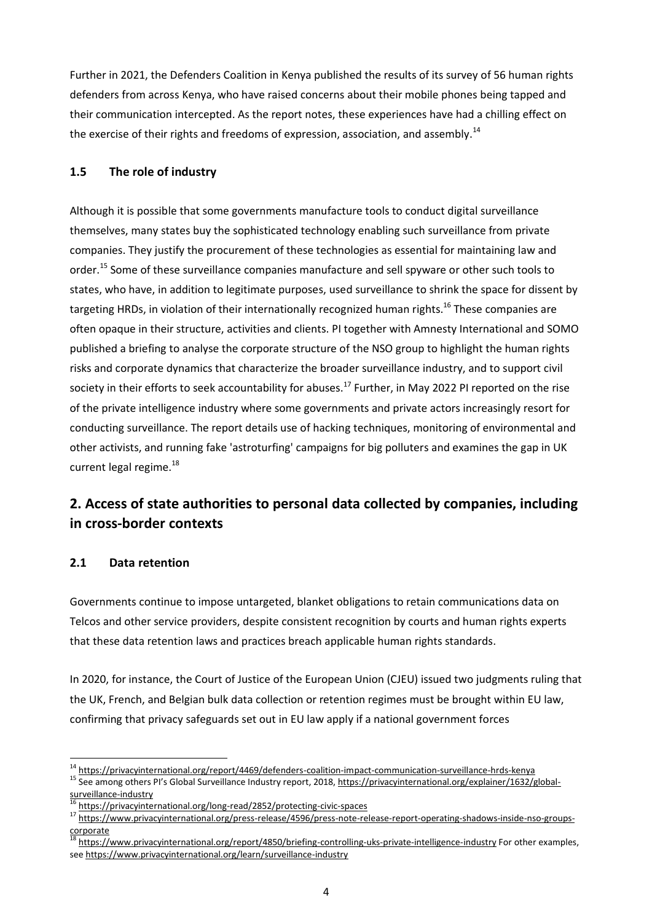Further in 2021, the Defenders Coalition in Kenya published the results of its survey of 56 human rights defenders from across Kenya, who have raised concerns about their mobile phones being tapped and their communication intercepted. As the report notes, these experiences have had a chilling effect on the exercise of their rights and freedoms of expression, association, and assembly.<sup>14</sup>

#### **1.5 The role of industry**

Although it is possible that some governments manufacture tools to conduct digital surveillance themselves, many states buy the sophisticated technology enabling such surveillance from private companies. They justify the procurement of these technologies as essential for maintaining law and order.<sup>15</sup> Some of these surveillance companies manufacture and sell spyware or other such tools to states, who have, in addition to legitimate purposes, used surveillance to shrink the space for dissent by targeting HRDs, in violation of their internationally recognized human rights.<sup>16</sup> These companies are often opaque in their structure, activities and clients. PI together with Amnesty International and SOMO published a briefing to analyse the corporate structure of the NSO group to highlight the human rights risks and corporate dynamics that characterize the broader surveillance industry, and to support civil society in their efforts to seek accountability for abuses.<sup>17</sup> Further, in May 2022 PI reported on the rise of the private intelligence industry where some governments and private actors increasingly resort for conducting surveillance. The report details use of hacking techniques, monitoring of environmental and other activists, and running fake 'astroturfing' campaigns for big polluters and examines the gap in UK current legal regime.<sup>18</sup>

# **2. Access of state authorities to personal data collected by companies, including in cross-border contexts**

## **2.1 Data retention**

Governments continue to impose untargeted, blanket obligations to retain communications data on Telcos and other service providers, despite consistent recognition by courts and human rights experts that these data retention laws and practices breach applicable human rights standards.

In 2020, for instance, the Court of Justice of the European Union (CJEU) issued two judgments ruling that the UK, French, and Belgian bulk data collection or retention regimes must be brought within EU law, confirming that privacy safeguards set out in EU law apply if a national government forces

<sup>&</sup>lt;sup>14</sup> <https://privacyinternational.org/report/4469/defenders-coalition-impact-communication-surveillance-hrds-kenya>

<sup>15</sup> See among others PI's Global Surveillance Industry report, 2018, [https://privacyinternational.org/explainer/1632/global](https://privacyinternational.org/explainer/1632/global-surveillance-industry)[surveillance-industry](https://privacyinternational.org/explainer/1632/global-surveillance-industry)

<https://privacyinternational.org/long-read/2852/protecting-civic-spaces>

<sup>17</sup> [https://www.privacyinternational.org/press-release/4596/press-note-release-report-operating-shadows-inside-nso-groups](https://www.privacyinternational.org/press-release/4596/press-note-release-report-operating-shadows-inside-nso-groups-corporate)[corporate](https://www.privacyinternational.org/press-release/4596/press-note-release-report-operating-shadows-inside-nso-groups-corporate)

<sup>18</sup> <https://www.privacyinternational.org/report/4850/briefing-controlling-uks-private-intelligence-industry> For other examples, see <https://www.privacyinternational.org/learn/surveillance-industry>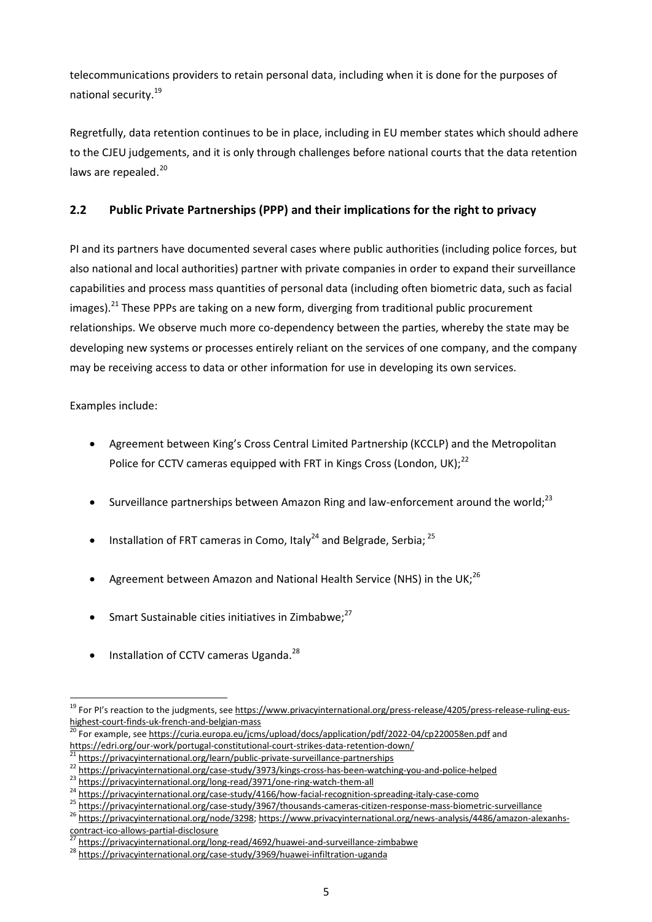telecommunications providers to retain personal data, including when it is done for the purposes of national security.<sup>19</sup>

Regretfully, data retention continues to be in place, including in EU member states which should adhere to the CJEU judgements, and it is only through challenges before national courts that the data retention laws are repealed.<sup>20</sup>

## **2.2 Public Private Partnerships (PPP) and their implications for the right to privacy**

PI and its partners have documented several cases where public authorities (including police forces, but also national and local authorities) partner with private companies in order to expand their surveillance capabilities and process mass quantities of personal data (including often biometric data, such as facial images). $^{21}$  These PPPs are taking on a new form, diverging from traditional public procurement relationships. We observe much more co-dependency between the parties, whereby the state may be developing new systems or processes entirely reliant on the services of one company, and the company may be receiving access to data or other information for use in developing its own services.

Examples include:

- Agreement between King's Cross Central Limited Partnership (KCCLP) and the Metropolitan Police for CCTV cameras equipped with FRT in Kings Cross (London, UK); $^{22}$
- Surveillance partnerships between Amazon Ring and law-enforcement around the world:<sup>23</sup>
- Installation of FRT cameras in Como, Italy<sup>24</sup> and Belgrade, Serbia;  $^{25}$
- Agreement between Amazon and National Health Service (NHS) in the UK;<sup>26</sup>
- Smart Sustainable cities initiatives in Zimbabwe; $27$
- Installation of CCTV cameras Uganda.<sup>28</sup>

<sup>&</sup>lt;sup>19</sup> For PI's reaction to the judgments, see [https://www.privacyinternational.org/press-release/4205/press-release-ruling-eus](https://www.privacyinternational.org/press-release/4205/press-release-ruling-eus-highest-court-finds-uk-french-and-belgian-mass)[highest-court-finds-uk-french-and-belgian-mass](https://www.privacyinternational.org/press-release/4205/press-release-ruling-eus-highest-court-finds-uk-french-and-belgian-mass)

<sup>&</sup>lt;sup>20</sup> For example, see <https://curia.europa.eu/jcms/upload/docs/application/pdf/2022-04/cp220058en.pdf> and <https://edri.org/our-work/portugal-constitutional-court-strikes-data-retention-down/>

<https://privacyinternational.org/learn/public-private-surveillance-partnerships>

<sup>22</sup> <https://privacyinternational.org/case-study/3973/kings-cross-has-been-watching-you-and-police-helped>

<sup>23</sup> <https://privacyinternational.org/long-read/3971/one-ring-watch-them-all>

<sup>24</sup> <https://privacyinternational.org/case-study/4166/how-facial-recognition-spreading-italy-case-como>

<sup>25</sup> <https://privacyinternational.org/case-study/3967/thousands-cameras-citizen-response-mass-biometric-surveillance>

<sup>&</sup>lt;sup>26</sup> [https://privacyinternational.org/node/3298;](https://privacyinternational.org/node/3298) [https://www.privacyinternational.org/news-analysis/4486/amazon-alexanhs](https://www.privacyinternational.org/news-analysis/4486/amazon-alexanhs-contract-ico-allows-partial-disclosure)[contract-ico-allows-partial-disclosure](https://www.privacyinternational.org/news-analysis/4486/amazon-alexanhs-contract-ico-allows-partial-disclosure)

<sup>&</sup>lt;sup>2</sup> <https://privacyinternational.org/long-read/4692/huawei-and-surveillance-zimbabwe>

<sup>28</sup> <https://privacyinternational.org/case-study/3969/huawei-infiltration-uganda>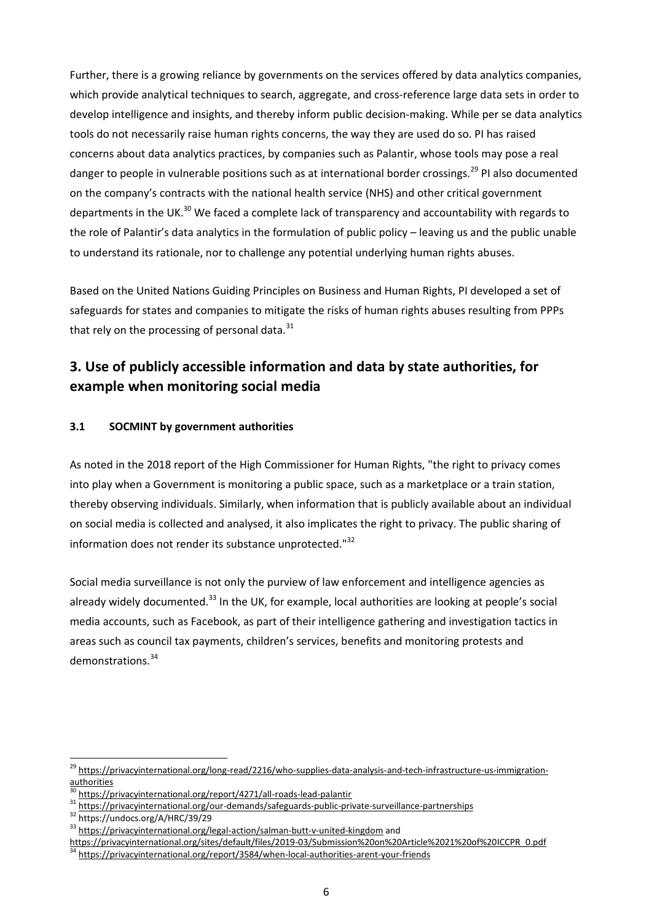Further, there is a growing reliance by governments on the services offered by data analytics companies, which provide analytical techniques to search, aggregate, and cross-reference large data sets in order to develop intelligence and insights, and thereby inform public decision-making. While per se data analytics tools do not necessarily raise human rights concerns, the way they are used do so. PI has raised concerns about data analytics practices, by companies such as Palantir, whose tools may pose a real danger to people in vulnerable positions such as at international border crossings.<sup>29</sup> PI also documented on the company's contracts with the national health service (NHS) and other critical government departments in the UK.<sup>30</sup> We faced a complete lack of transparency and accountability with regards to the role of Palantir's data analytics in the formulation of public policy – leaving us and the public unable to understand its rationale, nor to challenge any potential underlying human rights abuses.

Based on the United Nations Guiding Principles on Business and Human Rights, PI developed a set of safeguards for states and companies to mitigate the risks of human rights abuses resulting from PPPs that rely on the processing of personal data.<sup>31</sup>

# **3. Use of publicly accessible information and data by state authorities, for example when monitoring social media**

#### **3.1 SOCMINT by government authorities**

As noted in the 2018 report of the High Commissioner for Human Rights, "the right to privacy comes into play when a Government is monitoring a public space, such as a marketplace or a train station, thereby observing individuals. Similarly, when information that is publicly available about an individual on social media is collected and analysed, it also implicates the right to privacy. The public sharing of information does not render its substance unprotected."<sup>32</sup>

Social media surveillance is not only the purview of law enforcement and intelligence agencies as already widely documented.<sup>33</sup> In the UK, for example, local authorities are looking at people's social media accounts, such as Facebook, as part of their intelligence gathering and investigation tactics in areas such as council tax payments, children's services, benefits and monitoring protests and demonstrations.<sup>34</sup>

<sup>&</sup>lt;sup>29</sup> [https://privacyinternational.org/long-read/2216/who-supplies-data-analysis-and-tech-infrastructure-us-immigration](https://privacyinternational.org/long-read/2216/who-supplies-data-analysis-and-tech-infrastructure-us-immigration-authorities)[authorities](https://privacyinternational.org/long-read/2216/who-supplies-data-analysis-and-tech-infrastructure-us-immigration-authorities)

<https://privacyinternational.org/report/4271/all-roads-lead-palantir>

<sup>31</sup> <https://privacyinternational.org/our-demands/safeguards-public-private-surveillance-partnerships>

<sup>32</sup> https://undocs.org/A/HRC/39/29

<sup>33</sup> <https://privacyinternational.org/legal-action/salman-butt-v-united-kingdom> and

[https://privacyinternational.org/sites/default/files/2019-03/Submission%20on%20Article%2021%20of%20ICCPR\\_0.pdf](https://privacyinternational.org/sites/default/files/2019-03/Submission%20on%20Article%2021%20of%20ICCPR_0.pdf)<br>34 https://grivacyinternational.org/sites/default/files/2019-03/Submission%20on%20Article%2021%20of%20ICCPR\_0.p <https://privacyinternational.org/report/3584/when-local-authorities-arent-your-friends>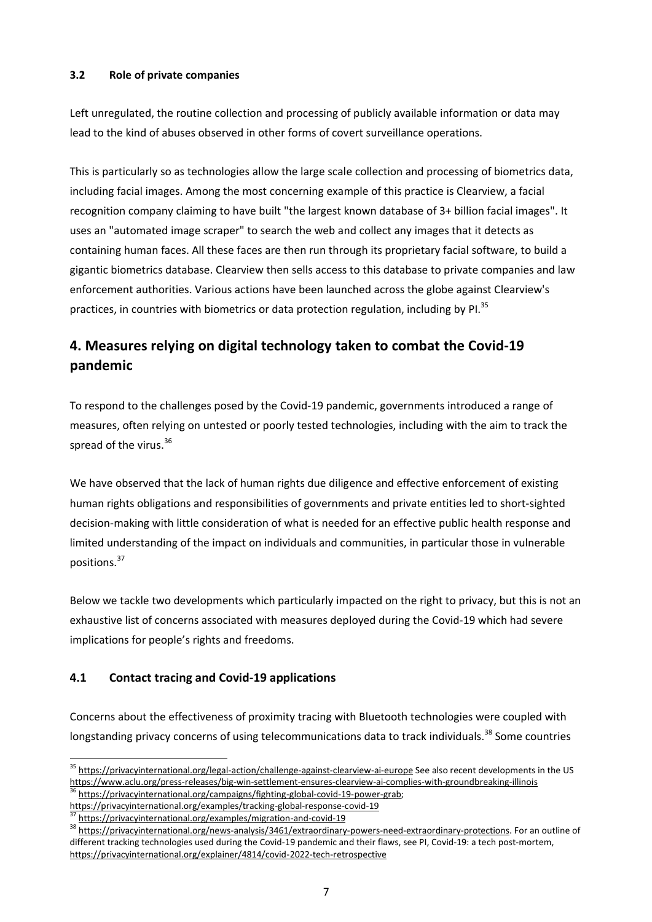#### **3.2 Role of private companies**

Left unregulated, the routine collection and processing of publicly available information or data may lead to the kind of abuses observed in other forms of covert surveillance operations.

This is particularly so as technologies allow the large scale collection and processing of biometrics data, including facial images. Among the most concerning example of this practice is Clearview, a facial recognition company claiming to have built "the largest known database of 3+ billion facial images". It uses an "automated image scraper" to search the web and collect any images that it detects as containing human faces. All these faces are then run through its proprietary facial software, to build a gigantic biometrics database. Clearview then sells access to this database to private companies and law enforcement authorities. Various actions have been launched across the globe against Clearview's practices, in countries with biometrics or data protection regulation, including by PI.<sup>35</sup>

# **4. Measures relying on digital technology taken to combat the Covid-19 pandemic**

To respond to the challenges posed by the Covid-19 pandemic, governments introduced a range of measures, often relying on untested or poorly tested technologies, including with the aim to track the spread of the virus.<sup>36</sup>

We have observed that the lack of human rights due diligence and effective enforcement of existing human rights obligations and responsibilities of governments and private entities led to short-sighted decision-making with little consideration of what is needed for an effective public health response and limited understanding of the impact on individuals and communities, in particular those in vulnerable positions. 37

Below we tackle two developments which particularly impacted on the right to privacy, but this is not an exhaustive list of concerns associated with measures deployed during the Covid-19 which had severe implications for people's rights and freedoms.

## **4.1 Contact tracing and Covid-19 applications**

Concerns about the effectiveness of proximity tracing with Bluetooth technologies were coupled with longstanding privacy concerns of using telecommunications data to track individuals.<sup>38</sup> Some countries

<sup>&</sup>lt;sup>35</sup> <https://privacyinternational.org/legal-action/challenge-against-clearview-ai-europe> See also recent developments in the US <https://www.aclu.org/press-releases/big-win-settlement-ensures-clearview-ai-complies-with-groundbreaking-illinois>

[https://privacyinternational.org/campaigns/fighting-global-covid-19-power-grab;](https://privacyinternational.org/campaigns/fighting-global-covid-19-power-grab) <https://privacyinternational.org/examples/tracking-global-response-covid-19>

<https://privacyinternational.org/examples/migration-and-covid-19>

<sup>38</sup> [https://privacyinternational.org/news-analysis/3461/extraordinary-powers-need-extraordinary-protections.](https://privacyinternational.org/news-analysis/3461/extraordinary-powers-need-extraordinary-protections) For an outline of different tracking technologies used during the Covid-19 pandemic and their flaws, see PI, Covid-19: a tech post-mortem, <https://privacyinternational.org/explainer/4814/covid-2022-tech-retrospective>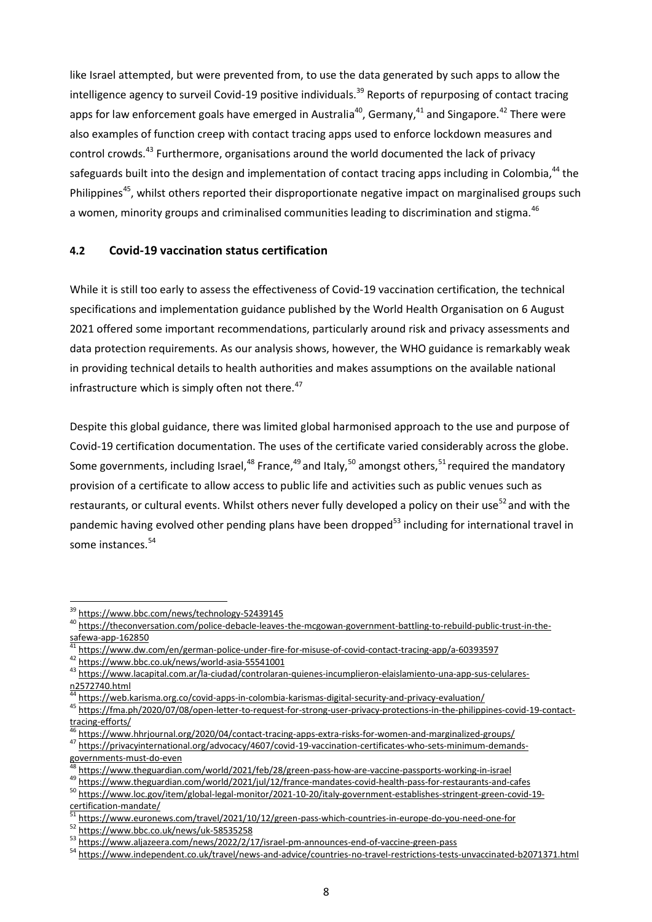like Israel attempted, but were prevented from, to use the data generated by such apps to allow the intelligence agency to surveil Covid-19 positive individuals.<sup>39</sup> Reports of repurposing of contact tracing apps for law enforcement goals have emerged in Australia<sup>40</sup>, Germany,<sup>41</sup> and Singapore.<sup>42</sup> There were also examples of function creep with contact tracing apps used to enforce lockdown measures and control crowds.<sup>43</sup> Furthermore, organisations around the world documented the lack of privacy safeguards built into the design and implementation of contact tracing apps including in Colombia,<sup>44</sup> the Philippines<sup>45</sup>, whilst others reported their disproportionate negative impact on marginalised groups such a women, minority groups and criminalised communities leading to discrimination and stigma.<sup>46</sup>

#### **4.2 Covid-19 vaccination status certification**

While it is still too early to assess the effectiveness of Covid-19 vaccination certification, the technical specifications and implementation guidance published by the World Health Organisation on 6 August 2021 offered some important recommendations, particularly around risk and privacy assessments and data protection requirements. As our analysis shows, however, the WHO guidance is remarkably weak in providing technical details to health authorities and makes assumptions on the available national infrastructure which is simply often not there. $47$ 

Despite this global guidance, there was limited global harmonised approach to the use and purpose of Covid-19 certification documentation. The uses of the certificate varied considerably across the globe. Some governments, including Israel,<sup>48</sup> France,<sup>49</sup> and Italy,<sup>50</sup> amongst others,<sup>51</sup> required the mandatory provision of a certificate to allow access to public life and activities such as public venues such as restaurants, or cultural events. Whilst others never fully developed a policy on their use<sup>52</sup> and with the pandemic having evolved other pending plans have been dropped<sup>53</sup> including for international travel in some instances.<sup>54</sup>

<sup>39</sup> <https://www.bbc.com/news/technology-52439145>

<sup>&</sup>lt;sup>40</sup> [https://theconversation.com/police-debacle-leaves-the-mcgowan-government-battling-to-rebuild-public-trust-in-the](https://theconversation.com/police-debacle-leaves-the-mcgowan-government-battling-to-rebuild-public-trust-in-the-safewa-app-162850)[safewa-app-162850](https://theconversation.com/police-debacle-leaves-the-mcgowan-government-battling-to-rebuild-public-trust-in-the-safewa-app-162850)

<https://www.dw.com/en/german-police-under-fire-for-misuse-of-covid-contact-tracing-app/a-60393597>

<sup>42</sup> <https://www.bbc.co.uk/news/world-asia-55541001>

<sup>&</sup>lt;sup>43</sup> [https://www.lacapital.com.ar/la-ciudad/controlaran-quienes-incumplieron-elaislamiento-una-app-sus-celulares](https://www.lacapital.com.ar/la-ciudad/controlaran-quienes-incumplieron-elaislamiento-una-app-sus-celulares-n2572740.html)[n2572740.html](https://www.lacapital.com.ar/la-ciudad/controlaran-quienes-incumplieron-elaislamiento-una-app-sus-celulares-n2572740.html)

 $^{44}$  <https://web.karisma.org.co/covid-apps-in-colombia-karismas-digital-security-and-privacy-evaluation/><br> $^{45}$  https://fma.ph/2020/07/08/open-letter-to-request-for-strong-user-privacy-protections-in-the-philippi

<sup>45</sup> [https://fma.ph/2020/07/08/open-letter-to-request-for-strong-user-privacy-protections-in-the-philippines-covid-19-contact](https://fma.ph/2020/07/08/open-letter-to-request-for-strong-user-privacy-protections-in-the-philippines-covid-19-contact-tracing-efforts/)[tracing-efforts/](https://fma.ph/2020/07/08/open-letter-to-request-for-strong-user-privacy-protections-in-the-philippines-covid-19-contact-tracing-efforts/)

<https://www.hhrjournal.org/2020/04/contact-tracing-apps-extra-risks-for-women-and-marginalized-groups/>

<sup>47</sup> [https://privacyinternational.org/advocacy/4607/covid-19-vaccination-certificates-who-sets-minimum-demands](https://privacyinternational.org/advocacy/4607/covid-19-vaccination-certificates-who-sets-minimum-demands-governments-must-do-even)[governments-must-do-even](https://privacyinternational.org/advocacy/4607/covid-19-vaccination-certificates-who-sets-minimum-demands-governments-must-do-even)

<https://www.theguardian.com/world/2021/feb/28/green-pass-how-are-vaccine-passports-working-in-israel>

<sup>19</sup> <https://www.theguardian.com/world/2021/jul/12/france-mandates-covid-health-pass-for-restaurants-and-cafes> <sup>50</sup> [https://www.loc.gov/item/global-legal-monitor/2021-10-20/italy-government-establishes-stringent-green-covid-19](https://www.loc.gov/item/global-legal-monitor/2021-10-20/italy-government-establishes-stringent-green-covid-19-certification-mandate/) [certification-mandate/](https://www.loc.gov/item/global-legal-monitor/2021-10-20/italy-government-establishes-stringent-green-covid-19-certification-mandate/)

<https://www.euronews.com/travel/2021/10/12/green-pass-which-countries-in-europe-do-you-need-one-for>

<sup>52</sup> <https://www.bbc.co.uk/news/uk-58535258>

<sup>53</sup> <https://www.aljazeera.com/news/2022/2/17/israel-pm-announces-end-of-vaccine-green-pass>

<sup>54</sup> <https://www.independent.co.uk/travel/news-and-advice/countries-no-travel-restrictions-tests-unvaccinated-b2071371.html>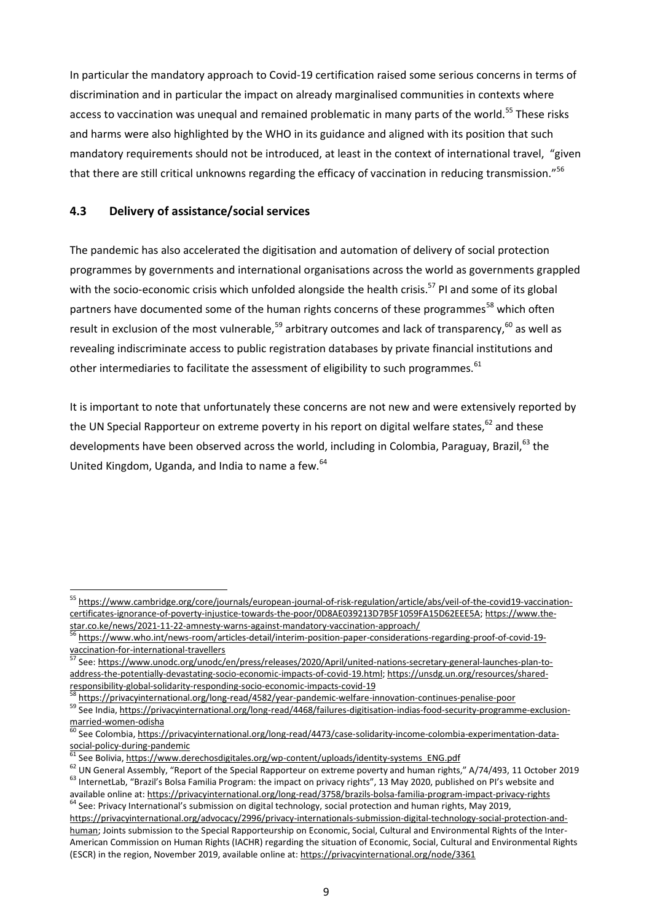In particular the mandatory approach to Covid-19 certification raised some serious concerns in terms of discrimination and in particular the impact on already marginalised communities in contexts where access to vaccination was unequal and remained problematic in many parts of the world.<sup>55</sup> These risks and harms were also highlighted by the WHO in its guidance and aligned with its position that such mandatory requirements should not be introduced, at least in the context of international travel, "given that there are still critical unknowns regarding the efficacy of vaccination in reducing transmission."<sup>56</sup>

#### **4.3 Delivery of assistance/social services**

The pandemic has also accelerated the digitisation and automation of delivery of social protection programmes by governments and international organisations across the world as governments grappled with the socio-economic crisis which unfolded alongside the health crisis.<sup>57</sup> PI and some of its global partners have documented some of the human rights concerns of these programmes<sup>58</sup> which often result in exclusion of the most vulnerable,<sup>59</sup> arbitrary outcomes and lack of transparency,<sup>60</sup> as well as revealing indiscriminate access to public registration databases by private financial institutions and other intermediaries to facilitate the assessment of eligibility to such programmes.<sup>61</sup>

It is important to note that unfortunately these concerns are not new and were extensively reported by the UN Special Rapporteur on extreme poverty in his report on digital welfare states,<sup>62</sup> and these developments have been observed across the world, including in Colombia, Paraguav. Brazil.<sup>63</sup> the United Kingdom, Uganda, and India to name a few. <sup>64</sup>

<sup>&</sup>lt;sup>55</sup> [https://www.cambridge.org/core/journals/european-journal-of-risk-regulation/article/abs/veil-of-the-covid19-vaccination](https://www.cambridge.org/core/journals/european-journal-of-risk-regulation/article/abs/veil-of-the-covid19-vaccination-certificates-ignorance-of-poverty-injustice-towards-the-poor/0D8AE039213D7B5F1059FA15D62EEE5A)[certificates-ignorance-of-poverty-injustice-towards-the-poor/0D8AE039213D7B5F1059FA15D62EEE5A;](https://www.cambridge.org/core/journals/european-journal-of-risk-regulation/article/abs/veil-of-the-covid19-vaccination-certificates-ignorance-of-poverty-injustice-towards-the-poor/0D8AE039213D7B5F1059FA15D62EEE5A) [https://www.the](https://www.the-star.co.ke/news/2021-11-22-amnesty-warns-against-mandatory-vaccination-approach/)[star.co.ke/news/2021-11-22-amnesty-warns-against-mandatory-vaccination-approach/](https://www.the-star.co.ke/news/2021-11-22-amnesty-warns-against-mandatory-vaccination-approach/)

<sup>56</sup> [https://www.who.int/news-room/articles-detail/interim-position-paper-considerations-regarding-proof-of-covid-19](https://www.who.int/news-room/articles-detail/interim-position-paper-considerations-regarding-proof-of-covid-19-vaccination-for-international-travellers) [vaccination-for-international-travellers](https://www.who.int/news-room/articles-detail/interim-position-paper-considerations-regarding-proof-of-covid-19-vaccination-for-international-travellers)<br>
<sup>57</sup> See: http://

<sup>57</sup> See: [https://www.unodc.org/unodc/en/press/releases/2020/April/united-nations-secretary-general-launches-plan-to](https://www.unodc.org/unodc/en/press/releases/2020/April/united-nations-secretary-general-launches-plan-to-address-the-potentially-devastating-socio-economic-impacts-of-covid-19.html)[address-the-potentially-devastating-socio-economic-impacts-of-covid-19.html;](https://www.unodc.org/unodc/en/press/releases/2020/April/united-nations-secretary-general-launches-plan-to-address-the-potentially-devastating-socio-economic-impacts-of-covid-19.html) [https://unsdg.un.org/resources/shared](https://unsdg.un.org/resources/shared-responsibility-global-solidarity-responding-socio-economic-impacts-covid-19)[responsibility-global-solidarity-responding-socio-economic-impacts-covid-19](https://unsdg.un.org/resources/shared-responsibility-global-solidarity-responding-socio-economic-impacts-covid-19)

<sup>58</sup> <https://privacyinternational.org/long-read/4582/year-pandemic-welfare-innovation-continues-penalise-poor>

<sup>59</sup> See India, [https://privacyinternational.org/long-read/4468/failures-digitisation-indias-food-security-programme-exclusion](https://privacyinternational.org/long-read/4468/failures-digitisation-indias-food-security-programme-exclusion-married-women-odisha)[married-women-odisha](https://privacyinternational.org/long-read/4468/failures-digitisation-indias-food-security-programme-exclusion-married-women-odisha)

See Colombia, [https://privacyinternational.org/long-read/4473/case-solidarity-income-colombia-experimentation-data](https://privacyinternational.org/long-read/4473/case-solidarity-income-colombia-experimentation-data-social-policy-during-pandemic)[social-policy-during-pandemic](https://privacyinternational.org/long-read/4473/case-solidarity-income-colombia-experimentation-data-social-policy-during-pandemic)

See Bolivia, [https://www.derechosdigitales.org/wp-content/uploads/identity-systems\\_ENG.pdf](https://www.derechosdigitales.org/wp-content/uploads/identity-systems_ENG.pdf)

<sup>&</sup>lt;sup>62</sup> UN General Assembly, "Report of the Special Rapporteur on extreme poverty and human rights," A/74/493, 11 October 2019 <sup>63</sup> InternetLab, "Brazil's Bolsa Familia Program: the impact on privacy rights", 13 May 2020, published on Pl's website and

available online at: <https://privacyinternational.org/long-read/3758/brazils-bolsa-familia-program-impact-privacy-rights> <sup>64</sup> See: Privacy International's submission on digital technology, social protection and human rights, May 2019,

[https://privacyinternational.org/advocacy/2996/privacy-internationals-submission-digital-technology-social-protection-and](https://privacyinternational.org/advocacy/2996/privacy-internationals-submission-digital-technology-social-protection-and-human)[human;](https://privacyinternational.org/advocacy/2996/privacy-internationals-submission-digital-technology-social-protection-and-human) Joints submission to the Special Rapporteurship on Economic, Social, Cultural and Environmental Rights of the Inter-American Commission on Human Rights (IACHR) regarding the situation of Economic, Social, Cultural and Environmental Rights (ESCR) in the region, November 2019, available online at: <https://privacyinternational.org/node/3361>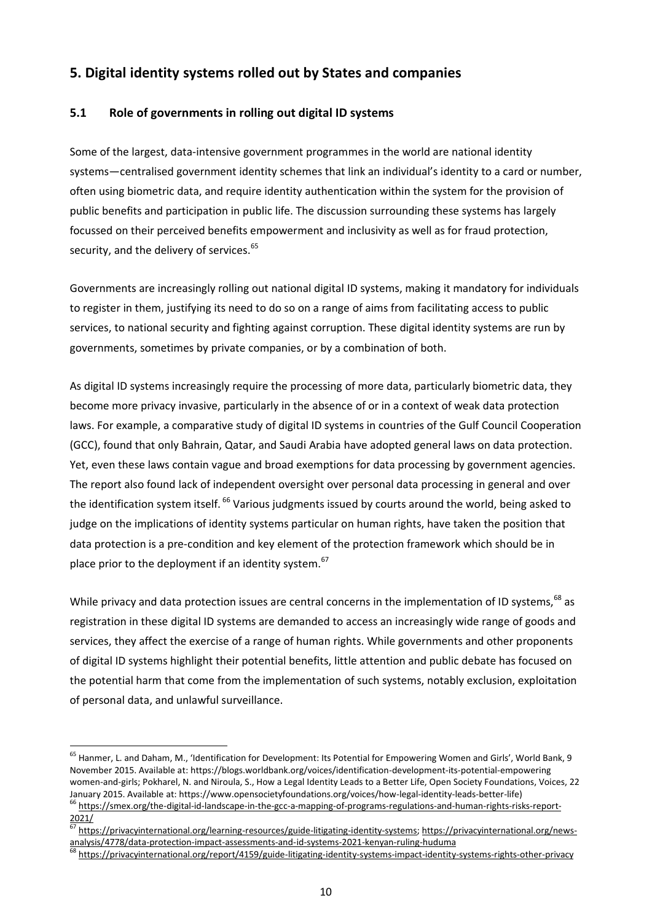## **5. Digital identity systems rolled out by States and companies**

## **5.1 Role of governments in rolling out digital ID systems**

Some of the largest, data-intensive government programmes in the world are national identity systems—centralised government identity schemes that link an individual's identity to a card or number, often using biometric data, and require identity authentication within the system for the provision of public benefits and participation in public life. The discussion surrounding these systems has largely focussed on their perceived benefits empowerment and inclusivity as well as for fraud protection, security, and the delivery of services.<sup>65</sup>

Governments are increasingly rolling out national digital ID systems, making it mandatory for individuals to register in them, justifying its need to do so on a range of aims from facilitating access to public services, to national security and fighting against corruption. These digital identity systems are run by governments, sometimes by private companies, or by a combination of both.

As digital ID systems increasingly require the processing of more data, particularly biometric data, they become more privacy invasive, particularly in the absence of or in a context of weak data protection laws. For example, a comparative study of digital ID systems in countries of the Gulf Council Cooperation (GCC), found that only Bahrain, Qatar, and Saudi Arabia have adopted general laws on data protection. Yet, even these laws contain vague and broad exemptions for data processing by government agencies. The report also found lack of independent oversight over personal data processing in general and over the identification system itself. <sup>66</sup> Various judgments issued by courts around the world, being asked to judge on the implications of identity systems particular on human rights, have taken the position that data protection is a pre-condition and key element of the protection framework which should be in place prior to the deployment if an identity system.<sup>67</sup>

While privacy and data protection issues are central concerns in the implementation of ID systems, <sup>68</sup> as registration in these digital ID systems are demanded to access an increasingly wide range of goods and services, they affect the exercise of a range of human rights. While governments and other proponents of digital ID systems highlight their potential benefits, little attention and public debate has focused on the potential harm that come from the implementation of such systems, notably exclusion, exploitation of personal data, and unlawful surveillance.

<sup>&</sup>lt;sup>65</sup> Hanmer, L. and Daham, M., 'Identification for Development: Its Potential for Empowering Women and Girls', World Bank, 9 November 2015. Available at: <https://blogs.worldbank.org/voices/identification-development-its-potential-empowering> women-and-girls; Pokharel, N. and Niroula, S., How a Legal Identity Leads to a Better Life, Open Society Foundations, Voices, 22 January 2015. Available at: [https://www.opensocietyfoundations.org/voices/how-legal-identity-leads-better-life\)](https://www.opensocietyfoundations.org/voices/how-legal-identity-leads-better-life)

<sup>&</sup>lt;sup>66</sup> [https://smex.org/the-digital-id-landscape-in-the-gcc-a-mapping-of-programs-regulations-and-human-rights-risks-report-](https://smex.org/the-digital-id-landscape-in-the-gcc-a-mapping-of-programs-regulations-and-human-rights-risks-report-2021/)[2021/](https://smex.org/the-digital-id-landscape-in-the-gcc-a-mapping-of-programs-regulations-and-human-rights-risks-report-2021/)

<sup>67</sup> [https://privacyinternational.org/learning-resources/guide-litigating-identity-systems;](https://privacyinternational.org/learning-resources/guide-litigating-identity-systems) [https://privacyinternational.org/news](https://privacyinternational.org/news-analysis/4778/data-protection-impact-assessments-and-id-systems-2021-kenyan-ruling-huduma)[analysis/4778/data-protection-impact-assessments-and-id-systems-2021-kenyan-ruling-huduma](https://privacyinternational.org/news-analysis/4778/data-protection-impact-assessments-and-id-systems-2021-kenyan-ruling-huduma)

<sup>68</sup> <https://privacyinternational.org/report/4159/guide-litigating-identity-systems-impact-identity-systems-rights-other-privacy>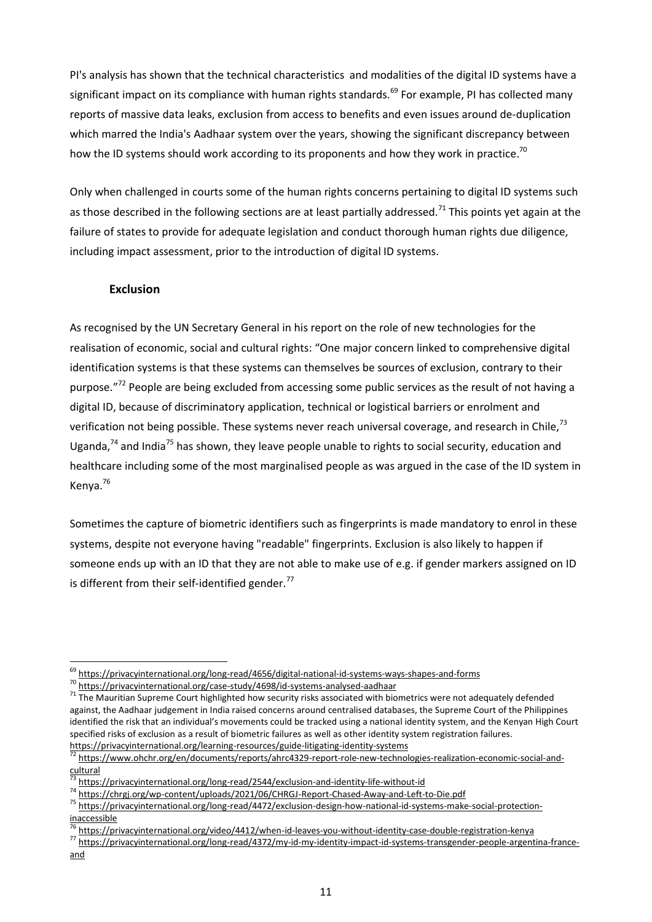PI's analysis has shown that the technical characteristics and modalities of the digital ID systems have a significant impact on its compliance with human rights standards.<sup>69</sup> For example, PI has collected many reports of massive data leaks, exclusion from access to benefits and even issues around de-duplication which marred the India's Aadhaar system over the years, showing the significant discrepancy between how the ID systems should work according to its proponents and how they work in practice.<sup>70</sup>

Only when challenged in courts some of the human rights concerns pertaining to digital ID systems such as those described in the following sections are at least partially addressed.<sup>71</sup> This points yet again at the failure of states to provide for adequate legislation and conduct thorough human rights due diligence, including impact assessment, prior to the introduction of digital ID systems.

#### **Exclusion**

As recognised by the UN Secretary General in his report on the role of new technologies for the realisation of economic, social and cultural rights: "One major concern linked to comprehensive digital identification systems is that these systems can themselves be sources of exclusion, contrary to their purpose."<sup>72</sup> People are being excluded from accessing some public services as the result of not having a digital ID, because of discriminatory application, technical or logistical barriers or enrolment and verification not being possible. These systems never reach universal coverage, and research in Chile.<sup>73</sup> Uganda, $74$  and India<sup>75</sup> has shown, they leave people unable to rights to social security, education and healthcare including some of the most marginalised people as was argued in the case of the ID system in Kenya.<sup>76</sup>

Sometimes the capture of biometric identifiers such as fingerprints is made mandatory to enrol in these systems, despite not everyone having "readable" fingerprints. Exclusion is also likely to happen if someone ends up with an ID that they are not able to make use of e.g. if gender markers assigned on ID is different from their self-identified gender.<sup>77</sup>

<sup>69</sup> <https://privacyinternational.org/long-read/4656/digital-national-id-systems-ways-shapes-and-forms>

<sup>70</sup> <https://privacyinternational.org/case-study/4698/id-systems-analysed-aadhaar>

<sup>&</sup>lt;sup>71</sup> The Mauritian Supreme Court highlighted how security risks associated with biometrics were not adequately defended against, the Aadhaar judgement in India raised concerns around centralised databases, the Supreme Court of the Philippines identified the risk that an individual's movements could be tracked using a national identity system, and the Kenyan High Court specified risks of exclusion as a result of biometric failures as well as other identity system registration failures. <https://privacyinternational.org/learning-resources/guide-litigating-identity-systems>

[https://www.ohchr.org/en/documents/reports/ahrc4329-report-role-new-technologies-realization-economic-social-and](https://www.ohchr.org/en/documents/reports/ahrc4329-report-role-new-technologies-realization-economic-social-and-cultural)[cultural](https://www.ohchr.org/en/documents/reports/ahrc4329-report-role-new-technologies-realization-economic-social-and-cultural)

<https://privacyinternational.org/long-read/2544/exclusion-and-identity-life-without-id>

<sup>74</sup> <https://chrgj.org/wp-content/uploads/2021/06/CHRGJ-Report-Chased-Away-and-Left-to-Die.pdf>

<sup>75</sup> [https://privacyinternational.org/long-read/4472/exclusion-design-how-national-id-systems-make-social-protection](https://privacyinternational.org/long-read/4472/exclusion-design-how-national-id-systems-make-social-protection-inaccessible)[inaccessible](https://privacyinternational.org/long-read/4472/exclusion-design-how-national-id-systems-make-social-protection-inaccessible)

<sup>&</sup>lt;sup>3</sup> <https://privacyinternational.org/video/4412/when-id-leaves-you-without-identity-case-double-registration-kenya>

<sup>77</sup> [https://privacyinternational.org/long-read/4372/my-id-my-identity-impact-id-systems-transgender-people-argentina-france](https://privacyinternational.org/long-read/4372/my-id-my-identity-impact-id-systems-transgender-people-argentina-france-and)[and](https://privacyinternational.org/long-read/4372/my-id-my-identity-impact-id-systems-transgender-people-argentina-france-and)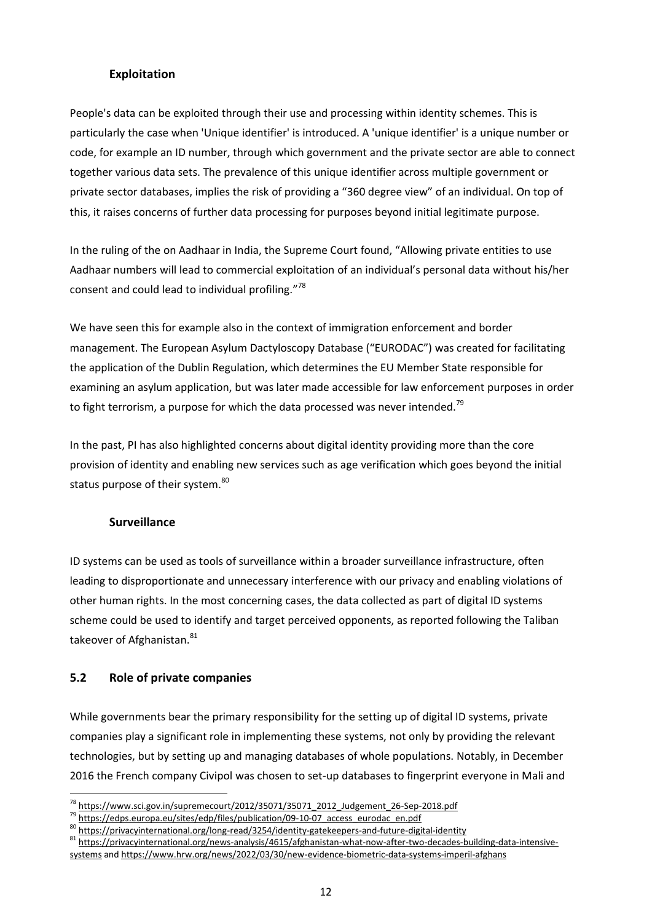#### **Exploitation**

People's data can be exploited through their use and processing within identity schemes. This is particularly the case when 'Unique identifier' is introduced. A 'unique identifier' is a unique number or code, for example an ID number, through which government and the private sector are able to connect together various data sets. The prevalence of this unique identifier across multiple government or private sector databases, implies the risk of providing a "360 degree view" of an individual. On top of this, it raises concerns of further data processing for purposes beyond initial legitimate purpose.

In the ruling of the on Aadhaar in India, the Supreme Court found, "Allowing private entities to use Aadhaar numbers will lead to commercial exploitation of an individual's personal data without his/her consent and could lead to individual profiling."<sup>78</sup>

We have seen this for example also in the context of immigration enforcement and border management. The European Asylum Dactyloscopy Database ("EURODAC") was created for facilitating the application of the Dublin Regulation, which determines the EU Member State responsible for examining an asylum application, but was later made accessible for law enforcement purposes in order to fight terrorism, a purpose for which the data processed was never intended.<sup>79</sup>

In the past, PI has also highlighted concerns about digital identity providing more than the core provision of identity and enabling new services such as age verification which goes beyond the initial status purpose of their system.<sup>80</sup>

#### **Surveillance**

ID systems can be used as tools of surveillance within a broader surveillance infrastructure, often leading to disproportionate and unnecessary interference with our privacy and enabling violations of other human rights. In the most concerning cases, the data collected as part of digital ID systems scheme could be used to identify and target perceived opponents, as reported following the Taliban takeover of Afghanistan. 81

#### **5.2 Role of private companies**

While governments bear the primary responsibility for the setting up of digital ID systems, private companies play a significant role in implementing these systems, not only by providing the relevant technologies, but by setting up and managing databases of whole populations. Notably, in December 2016 the French company Civipol was chosen to set-up databases to fingerprint everyone in Mali and

<sup>78</sup> [https://www.sci.gov.in/supremecourt/2012/35071/35071\\_2012\\_Judgement\\_26-Sep-2018.pdf](https://www.sci.gov.in/supremecourt/2012/35071/35071_2012_Judgement_26-Sep-2018.pdf)

<sup>&</sup>lt;sup>79</sup> https://edps.europa.eu/sites/edp/files/publication/09-10-07 access\_eurodac\_en.pdf

<sup>80</sup> <https://privacyinternational.org/long-read/3254/identity-gatekeepers-and-future-digital-identity>

<sup>81</sup> [https://privacyinternational.org/news-analysis/4615/afghanistan-what-now-after-two-decades-building-data-intensive](https://privacyinternational.org/news-analysis/4615/afghanistan-what-now-after-two-decades-building-data-intensive-systems)[systems](https://privacyinternational.org/news-analysis/4615/afghanistan-what-now-after-two-decades-building-data-intensive-systems) and <https://www.hrw.org/news/2022/03/30/new-evidence-biometric-data-systems-imperil-afghans>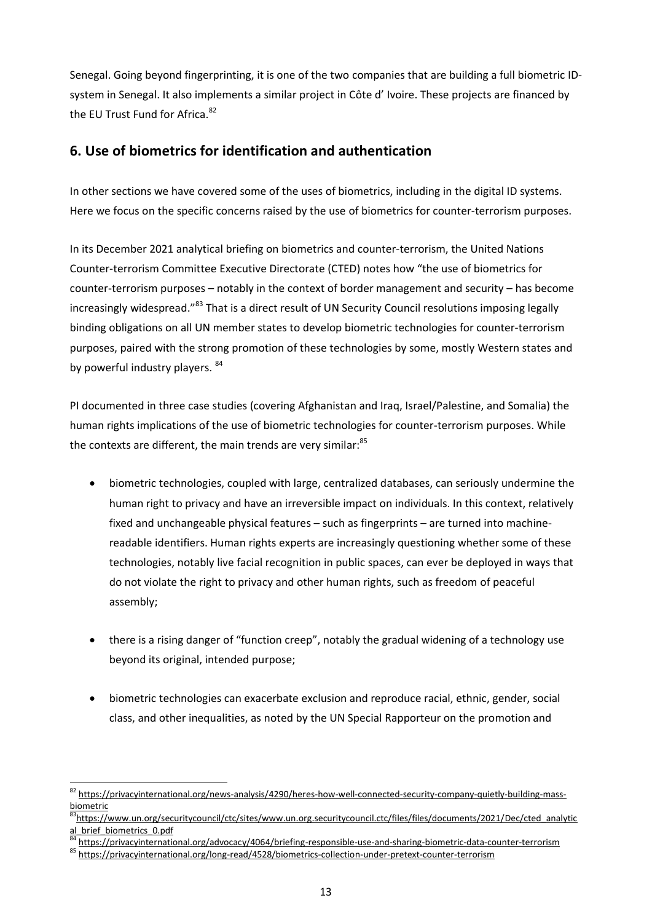Senegal. Going beyond fingerprinting, it is one of the two companies that are building a full biometric IDsystem in Senegal. It also implements a similar project in Côte d' Ivoire. These projects are financed by the EU Trust Fund for Africa.<sup>82</sup>

## **6. Use of biometrics for identification and authentication**

In other sections we have covered some of the uses of biometrics, including in the digital ID systems. Here we focus on the specific concerns raised by the use of biometrics for counter-terrorism purposes.

In its December 2021 analytical briefing on biometrics and counter-terrorism, the United Nations Counter-terrorism Committee Executive Directorate (CTED) notes how "the use of biometrics for counter-terrorism purposes – notably in the context of border management and security – has become increasingly widespread."<sup>83</sup> That is a direct result of UN Security Council resolutions imposing legally binding obligations on all UN member states to develop biometric technologies for counter-terrorism purposes, paired with the strong promotion of these technologies by some, mostly Western states and by powerful industry players. 84

PI documented in three case studies (covering Afghanistan and Iraq, Israel/Palestine, and Somalia) the human rights implications of the use of biometric technologies for counter-terrorism purposes. While the contexts are different, the main trends are very similar:<sup>85</sup>

- biometric technologies, coupled with large, centralized databases, can seriously undermine the human right to privacy and have an irreversible impact on individuals. In this context, relatively fixed and unchangeable physical features – such as fingerprints – are turned into machinereadable identifiers. Human rights experts are increasingly questioning whether some of these technologies, notably live facial recognition in public spaces, can ever be deployed in ways that do not violate the right to privacy and other human rights, such as freedom of peaceful assembly;
- there is a rising danger of "function creep", notably the gradual widening of a technology use beyond its original, intended purpose;
- biometric technologies can exacerbate exclusion and reproduce racial, ethnic, gender, social class, and other inequalities, as noted by the UN Special Rapporteur on the promotion and

<sup>82</sup> [https://privacyinternational.org/news-analysis/4290/heres-how-well-connected-security-company-quietly-building-mass](https://privacyinternational.org/news-analysis/4290/heres-how-well-connected-security-company-quietly-building-mass-biometric)[biometric](https://privacyinternational.org/news-analysis/4290/heres-how-well-connected-security-company-quietly-building-mass-biometric)

<sup>&</sup>lt;sup>3</sup>[https://www.un.org/securitycouncil/ctc/sites/www.un.org.securitycouncil.ctc/files/files/documents/2021/Dec/cted\\_analytic](https://www.un.org/securitycouncil/ctc/sites/www.un.org.securitycouncil.ctc/files/files/documents/2021/Dec/cted_analytical_brief_biometrics_0.pdf) al brief biometrics 0.pdf

<sup>84</sup> <https://privacyinternational.org/advocacy/4064/briefing-responsible-use-and-sharing-biometric-data-counter-terrorism>

<sup>85</sup> <https://privacyinternational.org/long-read/4528/biometrics-collection-under-pretext-counter-terrorism>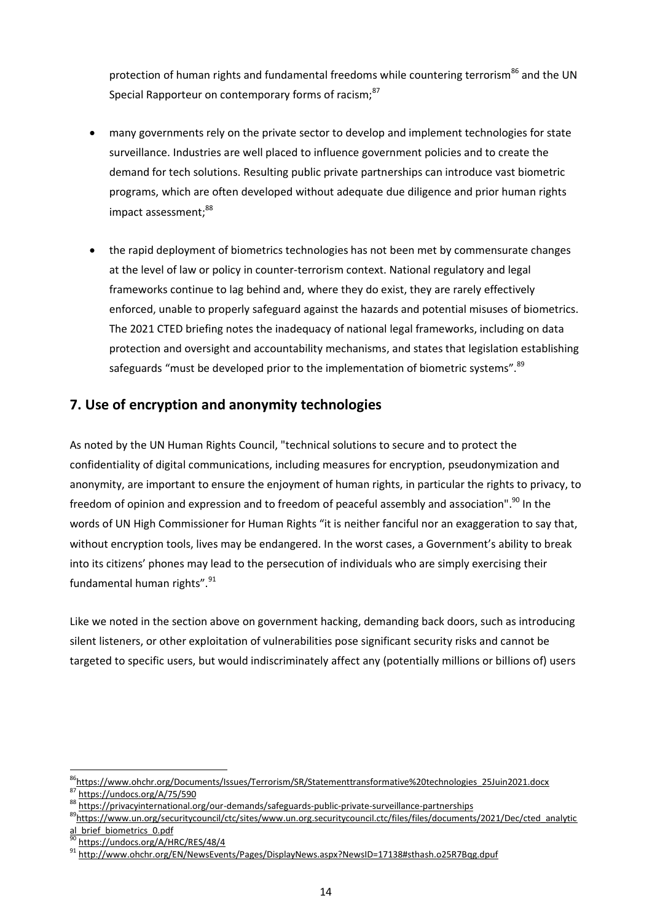protection of human rights and fundamental freedoms while countering terrorism<sup>86</sup> and the UN Special Rapporteur on contemporary forms of racism;<sup>87</sup>

- many governments rely on the private sector to develop and implement technologies for state surveillance. Industries are well placed to influence government policies and to create the demand for tech solutions. Resulting public private partnerships can introduce vast biometric programs, which are often developed without adequate due diligence and prior human rights impact assessment; 88
- the rapid deployment of biometrics technologies has not been met by commensurate changes at the level of law or policy in counter-terrorism context. National regulatory and legal frameworks continue to lag behind and, where they do exist, they are rarely effectively enforced, unable to properly safeguard against the hazards and potential misuses of biometrics. The 2021 CTED briefing notes the inadequacy of national legal frameworks, including on data protection and oversight and accountability mechanisms, and states that legislation establishing safeguards "must be developed prior to the implementation of biometric systems".<sup>89</sup>

## **7. Use of encryption and anonymity technologies**

As noted by the UN Human Rights Council, "technical solutions to secure and to protect the confidentiality of digital communications, including measures for encryption, pseudonymization and anonymity, are important to ensure the enjoyment of human rights, in particular the rights to privacy, to freedom of opinion and expression and to freedom of peaceful assembly and association".<sup>90</sup> In the words of UN High Commissioner for Human Rights "it is neither fanciful nor an exaggeration to say that, without encryption tools, lives may be endangered. In the worst cases, a Government's ability to break into its citizens' phones may lead to the persecution of individuals who are simply exercising their fundamental human rights".<sup>91</sup>

Like we noted in the section above on government hacking, demanding back doors, such as introducing silent listeners, or other exploitation of vulnerabilities pose significant security risks and cannot be targeted to specific users, but would indiscriminately affect any (potentially millions or billions of) users

<sup>&</sup>lt;sup>86</sup>[https://www.ohchr.org/Documents/Issues/Terrorism/SR/Statementtransformative%20technologies\\_25Juin2021.docx](https://www.ohchr.org/Documents/Issues/Terrorism/SR/Statementtransformative%20technologies_25Juin2021.docx) <https://undocs.org/A/75/590>

<sup>88</sup> <https://privacyinternational.org/our-demands/safeguards-public-private-surveillance-partnerships>

<sup>&</sup>lt;sup>89</sup>[https://www.un.org/securitycouncil/ctc/sites/www.un.org.securitycouncil.ctc/files/files/documents/2021/Dec/cted\\_analytic](https://www.un.org/securitycouncil/ctc/sites/www.un.org.securitycouncil.ctc/files/files/documents/2021/Dec/cted_analytical_brief_biometrics_0.pdf)

al brief biometrics 0.pdf

<https://undocs.org/A/HRC/RES/48/4>

<sup>91</sup> <http://www.ohchr.org/EN/NewsEvents/Pages/DisplayNews.aspx?NewsID=17138#sthash.o25R7Bqg.dpuf>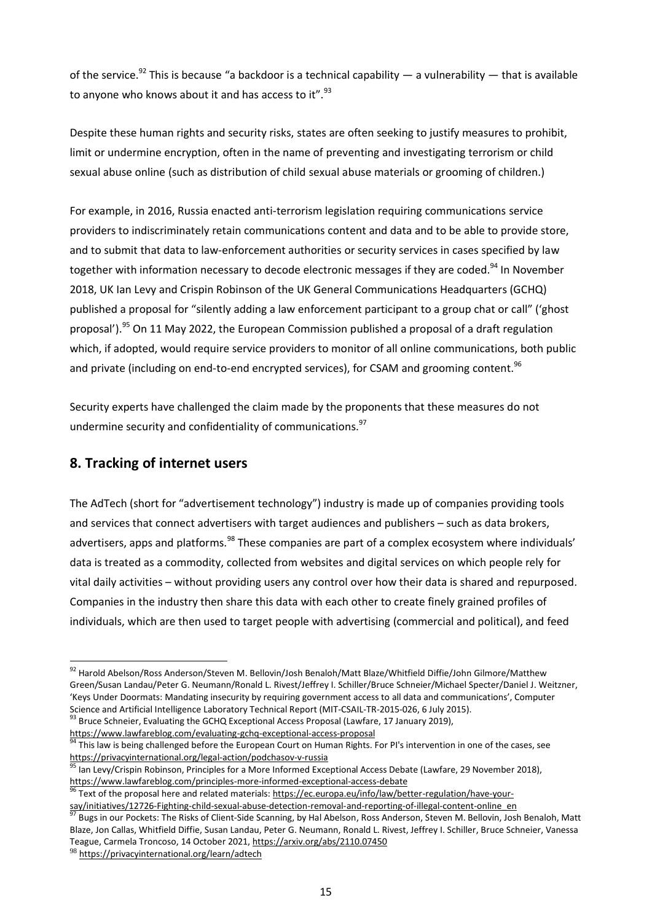of the service.<sup>92</sup> This is because "a backdoor is a technical capability — a vulnerability — that is available to anyone who knows about it and has access to it".<sup>93</sup>

Despite these human rights and security risks, states are often seeking to justify measures to prohibit, limit or undermine encryption, often in the name of preventing and investigating terrorism or child sexual abuse online (such as distribution of child sexual abuse materials or grooming of children.)

For example, in 2016, Russia enacted anti-terrorism legislation requiring communications service providers to indiscriminately retain communications content and data and to be able to provide store, and to submit that data to law-enforcement authorities or security services in cases specified by law together with information necessary to decode electronic messages if they are coded.<sup>94</sup> In November 2018, UK Ian Levy and Crispin Robinson of the UK General Communications Headquarters (GCHQ) published a proposal for "silently adding a law enforcement participant to a group chat or call" ('ghost proposal').<sup>95</sup> On 11 May 2022, the European Commission published a proposal of a draft regulation which, if adopted, would require service providers to monitor of all online communications, both public and private (including on end-to-end encrypted services), for CSAM and grooming content.<sup>96</sup>

Security experts have challenged the claim made by the proponents that these measures do not undermine security and confidentiality of communications.<sup>97</sup>

## **8. Tracking of internet users**

The AdTech (short for "advertisement technology") industry is made up of companies providing tools and services that connect advertisers with target audiences and publishers – such as data brokers, advertisers, apps and platforms.<sup>98</sup> These companies are part of a complex ecosystem where individuals' data is treated as a commodity, collected from websites and digital services on which people rely for vital daily activities – without providing users any control over how their data is shared and repurposed. Companies in the industry then share this data with each other to create finely grained profiles of individuals, which are then used to target people with advertising (commercial and political), and feed

<sup>92</sup> Harold Abelson/Ross Anderson/Steven M. Bellovin/Josh Benaloh/Matt Blaze/Whitfield Diffie/John Gilmore/Matthew Green/Susan Landau/Peter G. Neumann/Ronald L. Rivest/Jeffrey I. Schiller/Bruce Schneier/Michael Specter/Daniel J. Weitzner, 'Keys Under Doormats: Mandating insecurity by requiring government access to all data and communications', Computer Science and Artificial Intelligence Laboratory Technical Report (MIT-CSAIL-TR-2015-026, 6 July 2015).

<sup>&</sup>lt;sup>93</sup> Bruce Schneier, Evaluating the GCHQ Exceptional Access Proposal (Lawfare, 17 January 2019), <https://www.lawfareblog.com/evaluating-gchq-exceptional-access-proposal>

<sup>&</sup>lt;sup>94</sup> This law is being challenged before the European Court on Human Rights. For PI's intervention in one of the cases, see <https://privacyinternational.org/legal-action/podchasov-v-russia>

Ian Levy/Crispin Robinson, Principles for a More Informed Exceptional Access Debate (Lawfare, 29 November 2018), <https://www.lawfareblog.com/principles-more-informed-exceptional-access-debate><br><sup>96</sup> Text of the state of the state of the state of the state of the state of the state of the state of the state of the state of the state of

Text of the proposal here and related materials: [https://ec.europa.eu/info/law/better-regulation/have-your](https://ec.europa.eu/info/law/better-regulation/have-your-say/initiatives/12726-Fighting-child-sexual-abuse-detection-removal-and-reporting-of-illegal-content-online_en)[say/initiatives/12726-Fighting-child-sexual-abuse-detection-removal-and-reporting-of-illegal-content-online\\_en](https://ec.europa.eu/info/law/better-regulation/have-your-say/initiatives/12726-Fighting-child-sexual-abuse-detection-removal-and-reporting-of-illegal-content-online_en)

<sup>&</sup>lt;sup>97</sup> Bugs in our Pockets: The Risks of Client-Side Scanning, by Hal Abelson, Ross Anderson, Steven M. Bellovin, Josh Benaloh, Matt Blaze, Jon Callas, Whitfield Diffie, Susan Landau, Peter G. Neumann, Ronald L. Rivest, Jeffrey I. Schiller, Bruce Schneier, Vanessa Teague, Carmela Troncoso, 14 October 2021, <https://arxiv.org/abs/2110.07450>

<sup>98</sup> <https://privacyinternational.org/learn/adtech>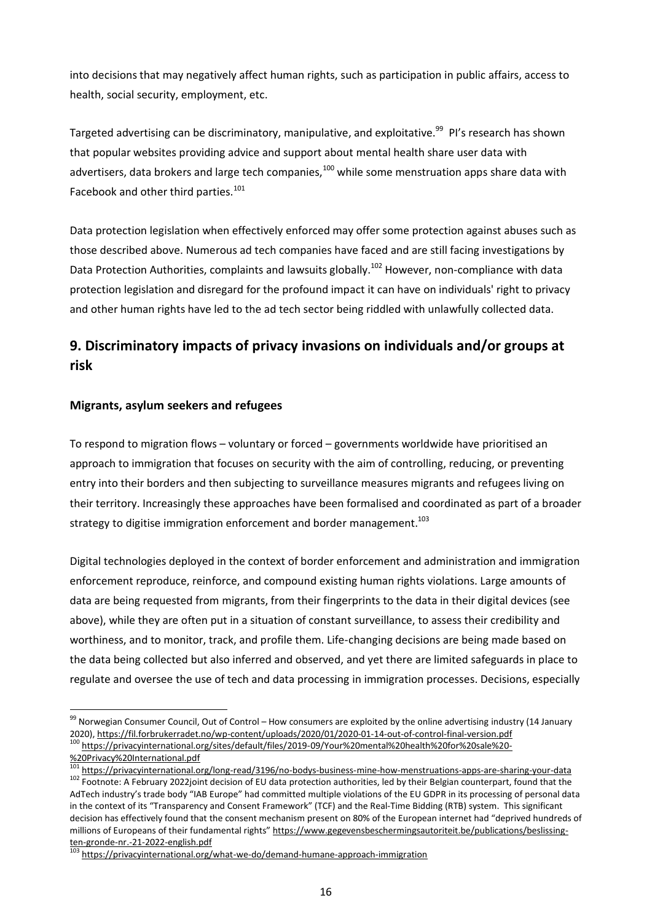into decisions that may negatively affect human rights, such as participation in public affairs, access to health, social security, employment, etc.

Targeted advertising can be discriminatory, manipulative, and exploitative.<sup>99</sup> PI's research has shown that popular websites providing advice and support about mental health share user data with advertisers, data brokers and large tech companies,<sup>100</sup> while some menstruation apps share data with Facebook and other third parties.<sup>101</sup>

Data protection legislation when effectively enforced may offer some protection against abuses such as those described above. Numerous ad tech companies have faced and are still facing investigations by Data Protection Authorities, complaints and lawsuits globally.<sup>102</sup> However, non-compliance with data protection legislation and disregard for the profound impact it can have on individuals' right to privacy and other human rights have led to the ad tech sector being riddled with unlawfully collected data.

# **9. Discriminatory impacts of privacy invasions on individuals and/or groups at risk**

#### **Migrants, asylum seekers and refugees**

To respond to migration flows – voluntary or forced – governments worldwide have prioritised an approach to immigration that focuses on security with the aim of controlling, reducing, or preventing entry into their borders and then subjecting to surveillance measures migrants and refugees living on their territory. Increasingly these approaches have been formalised and coordinated as part of a broader strategy to digitise immigration enforcement and border management.<sup>103</sup>

Digital technologies deployed in the context of border enforcement and administration and immigration enforcement reproduce, reinforce, and compound existing human rights violations. Large amounts of data are being requested from migrants, from their fingerprints to the data in their digital devices (see above), while they are often put in a situation of constant surveillance, to assess their credibility and worthiness, and to monitor, track, and profile them. Life-changing decisions are being made based on the data being collected but also inferred and observed, and yet there are limited safeguards in place to regulate and oversee the use of tech and data processing in immigration processes. Decisions, especially

<sup>99</sup> Norwegian Consumer Council, Out of Control – How consumers are exploited by the online advertising industry (14 January 2020), <https://fil.forbrukerradet.no/wp-content/uploads/2020/01/2020-01-14-out-of-control-final-version.pdf> <sup>100</sup> [https://privacyinternational.org/sites/default/files/2019-09/Your%20mental%20health%20for%20sale%20-](https://privacyinternational.org/sites/default/files/2019-09/Your%20mental%20health%20for%20sale%20-%20Privacy%20International.pdf)

[<sup>%20</sup>Privacy%20International.pdf](https://privacyinternational.org/sites/default/files/2019-09/Your%20mental%20health%20for%20sale%20-%20Privacy%20International.pdf)

<sup>&</sup>lt;sup>101</sup> <https://privacyinternational.org/long-read/3196/no-bodys-business-mine-how-menstruations-apps-are-sharing-your-data> 102 Footnote: A February 2022joint decision of EU data protection authorities, led by their Belgian counterpart, found that the AdTech industry's trade body "IAB Europe" had committed multiple violations of the EU GDPR in its processing of personal data in the context of its "Transparency and Consent Framework" (TCF) and the Real-Time Bidding (RTB) system. This significant decision has effectively found that the consent mechanism present on 80% of the European internet had "deprived hundreds of millions of Europeans of their fundamental rights" [https://www.gegevensbeschermingsautoriteit.be/publications/beslissing](https://www.gegevensbeschermingsautoriteit.be/publications/beslissing-ten-gronde-nr.-21-2022-english.pdf)[ten-gronde-nr.-21-2022-english.pdf](https://www.gegevensbeschermingsautoriteit.be/publications/beslissing-ten-gronde-nr.-21-2022-english.pdf)

<sup>&</sup>lt;sup>103</sup> <https://privacyinternational.org/what-we-do/demand-humane-approach-immigration>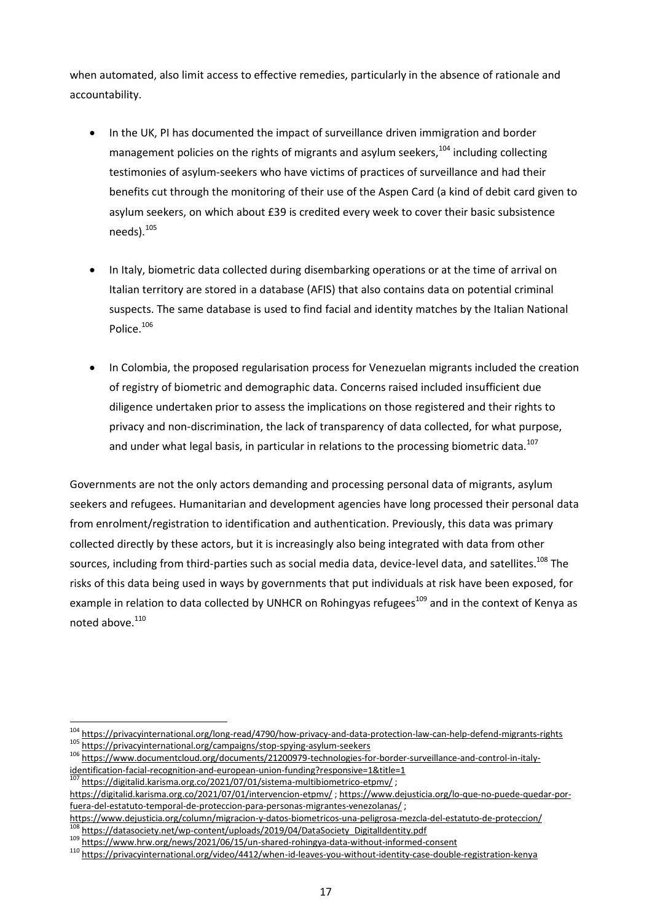when automated, also limit access to effective remedies, particularly in the absence of rationale and accountability.

- In the UK, PI has documented the impact of surveillance driven immigration and border management policies on the rights of migrants and asylum seekers.<sup>104</sup> including collecting testimonies of asylum-seekers who have victims of practices of surveillance and had their benefits cut through the monitoring of their use of the Aspen Card (a kind of debit card given to asylum seekers, on which about £39 is credited every week to cover their basic subsistence needs). 105
- In Italy, biometric data collected during disembarking operations or at the time of arrival on Italian territory are stored in a database (AFIS) that also contains data on potential criminal suspects. The same database is used to find facial and identity matches by the Italian National Police.<sup>106</sup>
- In Colombia, the proposed regularisation process for Venezuelan migrants included the creation of registry of biometric and demographic data. Concerns raised included insufficient due diligence undertaken prior to assess the implications on those registered and their rights to privacy and non-discrimination, the lack of transparency of data collected, for what purpose, and under what legal basis, in particular in relations to the processing biometric data.<sup>107</sup>

Governments are not the only actors demanding and processing personal data of migrants, asylum seekers and refugees. Humanitarian and development agencies have long processed their personal data from enrolment/registration to identification and authentication. Previously, this data was primary collected directly by these actors, but it is increasingly also being integrated with data from other sources, including from third-parties such as social media data, device-level data, and satellites.<sup>108</sup> The risks of this data being used in ways by governments that put individuals at risk have been exposed, for example in relation to data collected by UNHCR on Rohingyas refugees<sup>109</sup> and in the context of Kenya as noted above.<sup>110</sup>

<https://digitalid.karisma.org.co/2021/07/01/sistema-multibiometrico-etpmv/>;

<https://www.dejusticia.org/column/migracion-y-datos-biometricos-una-peligrosa-mezcla-del-estatuto-de-proteccion/> [https://datasociety.net/wp-content/uploads/2019/04/DataSociety\\_DigitalIdentity.pdf](https://datasociety.net/wp-content/uploads/2019/04/DataSociety_DigitalIdentity.pdf)

<sup>104</sup> <https://privacyinternational.org/long-read/4790/how-privacy-and-data-protection-law-can-help-defend-migrants-rights> <sup>105</sup> <https://privacyinternational.org/campaigns/stop-spying-asylum-seekers>

<sup>106</sup> [https://www.documentcloud.org/documents/21200979-technologies-for-border-surveillance-and-control-in-italy](https://www.documentcloud.org/documents/21200979-technologies-for-border-surveillance-and-control-in-italy-identification-facial-recognition-and-european-union-funding?responsive=1&title=1)[identification-facial-recognition-and-european-union-funding?responsive=1&title=1](https://www.documentcloud.org/documents/21200979-technologies-for-border-surveillance-and-control-in-italy-identification-facial-recognition-and-european-union-funding?responsive=1&title=1)

<https://digitalid.karisma.org.co/2021/07/01/intervencion-etpmv/> ; [https://www.dejusticia.org/lo-que-no-puede-quedar-por](https://www.dejusticia.org/lo-que-no-puede-quedar-por-fuera-del-estatuto-temporal-de-proteccion-para-personas-migrantes-venezolanas/)[fuera-del-estatuto-temporal-de-proteccion-para-personas-migrantes-venezolanas/](https://www.dejusticia.org/lo-que-no-puede-quedar-por-fuera-del-estatuto-temporal-de-proteccion-para-personas-migrantes-venezolanas/) ;

<sup>109</sup> <https://www.hrw.org/news/2021/06/15/un-shared-rohingya-data-without-informed-consent>

<sup>110</sup> <https://privacyinternational.org/video/4412/when-id-leaves-you-without-identity-case-double-registration-kenya>